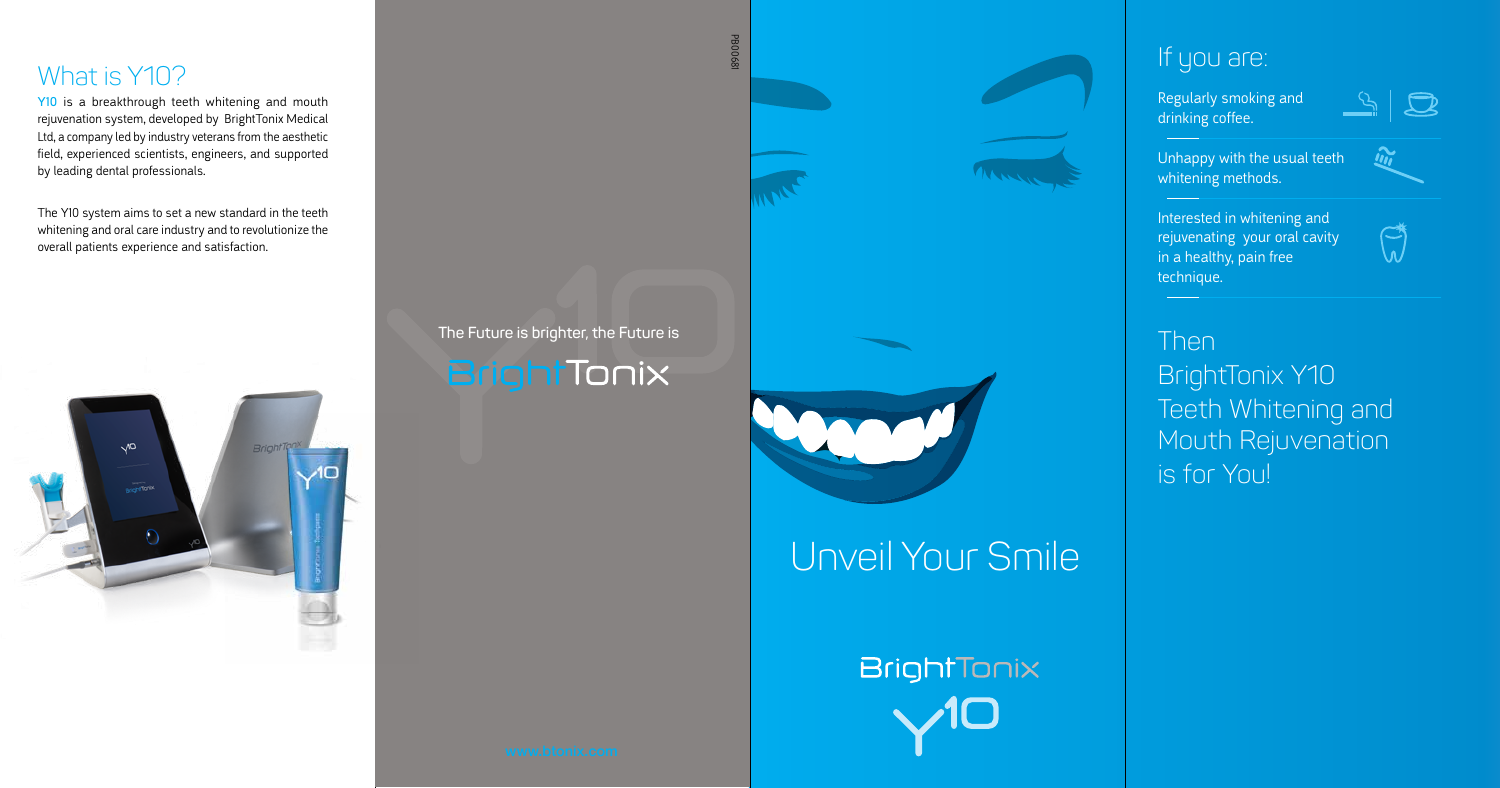#### If you are:

Regularly smoking and drinking coffee.



 $\boldsymbol{\hat{m}}$ 



Unhappy with the usual teeth whitening methods.

Interested in whitening and rejuvenating your oral cavity in a healthy, pain free technique.

#### What is Y10?

Y10 is a breakthrough teeth whitening and mouth rejuvenation system, developed by BrightTonix Medical Ltd, a company led by industry veterans from the aesthetic field, experienced scientists, engineers, and supported by leading dental professionals.

> **The Future is brighter, the Future is**  BrightTonix





The Y10 system aims to set a new standard in the teeth whitening and oral care industry and to revolutionize the overall patients experience and satisfaction.







Then

BrightTonix Y10 Teeth Whitening and Mouth Rejuvenation is for You!

# Unveil Your Smile

BrightTonix